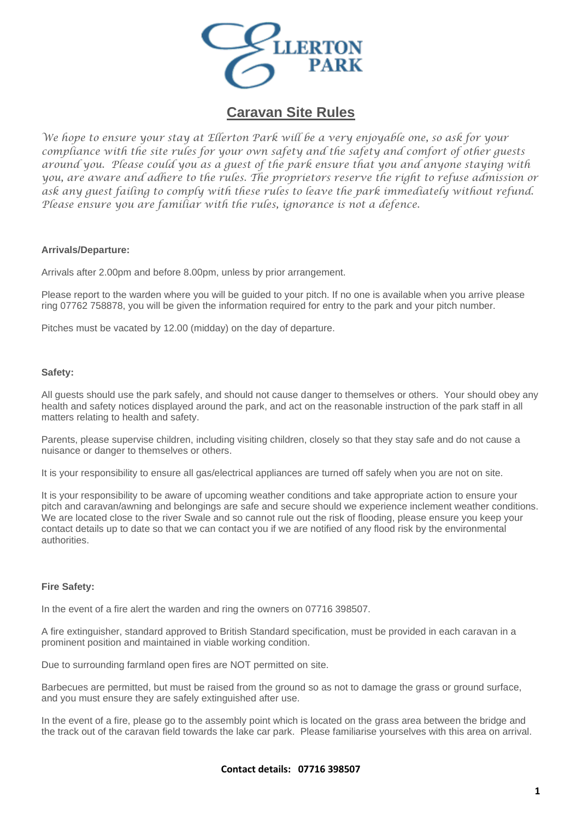

# **Caravan Site Rules**

*We hope to ensure your stay at Ellerton Park will be a very enjoyable one, so ask for your compliance with the site rules for your own safety and the safety and comfort of other guests around you. Please could you as a guest of the park ensure that you and anyone staying with you, are aware and adhere to the rules. The proprietors reserve the right to refuse admission or ask any guest failing to comply with these rules to leave the park immediately without refund. Please ensure you are familiar with the rules, ignorance is not a defence.*

# **Arrivals/Departure:**

Arrivals after 2.00pm and before 8.00pm, unless by prior arrangement.

Please report to the warden where you will be guided to your pitch. If no one is available when you arrive please ring 07762 758878, you will be given the information required for entry to the park and your pitch number.

Pitches must be vacated by 12.00 (midday) on the day of departure.

# **Safety:**

All guests should use the park safely, and should not cause danger to themselves or others. Your should obey any health and safety notices displayed around the park, and act on the reasonable instruction of the park staff in all matters relating to health and safety.

Parents, please supervise children, including visiting children, closely so that they stay safe and do not cause a nuisance or danger to themselves or others.

It is your responsibility to ensure all gas/electrical appliances are turned off safely when you are not on site.

It is your responsibility to be aware of upcoming weather conditions and take appropriate action to ensure your pitch and caravan/awning and belongings are safe and secure should we experience inclement weather conditions. We are located close to the river Swale and so cannot rule out the risk of flooding, please ensure you keep your contact details up to date so that we can contact you if we are notified of any flood risk by the environmental authorities.

#### **Fire Safety:**

In the event of a fire alert the warden and ring the owners on 07716 398507.

A fire extinguisher, standard approved to British Standard specification, must be provided in each caravan in a prominent position and maintained in viable working condition.

Due to surrounding farmland open fires are NOT permitted on site.

Barbecues are permitted, but must be raised from the ground so as not to damage the grass or ground surface, and you must ensure they are safely extinguished after use.

In the event of a fire, please go to the assembly point which is located on the grass area between the bridge and the track out of the caravan field towards the lake car park. Please familiarise yourselves with this area on arrival.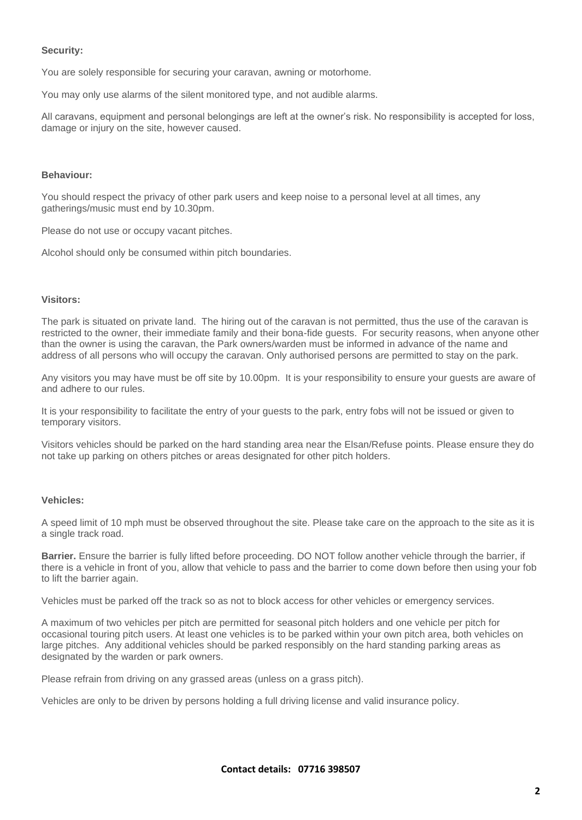# **Security:**

You are solely responsible for securing your caravan, awning or motorhome.

You may only use alarms of the silent monitored type, and not audible alarms.

All caravans, equipment and personal belongings are left at the owner's risk. No responsibility is accepted for loss, damage or injury on the site, however caused.

#### **Behaviour:**

You should respect the privacy of other park users and keep noise to a personal level at all times, any gatherings/music must end by 10.30pm.

Please do not use or occupy vacant pitches.

Alcohol should only be consumed within pitch boundaries.

#### **Visitors:**

The park is situated on private land. The hiring out of the caravan is not permitted, thus the use of the caravan is restricted to the owner, their immediate family and their bona-fide guests. For security reasons, when anyone other than the owner is using the caravan, the Park owners/warden must be informed in advance of the name and address of all persons who will occupy the caravan. Only authorised persons are permitted to stay on the park.

Any visitors you may have must be off site by 10.00pm. It is your responsibility to ensure your guests are aware of and adhere to our rules.

It is your responsibility to facilitate the entry of your guests to the park, entry fobs will not be issued or given to temporary visitors.

Visitors vehicles should be parked on the hard standing area near the Elsan/Refuse points. Please ensure they do not take up parking on others pitches or areas designated for other pitch holders.

#### **Vehicles:**

A speed limit of 10 mph must be observed throughout the site. Please take care on the approach to the site as it is a single track road.

**Barrier.** Ensure the barrier is fully lifted before proceeding. DO NOT follow another vehicle through the barrier, if there is a vehicle in front of you, allow that vehicle to pass and the barrier to come down before then using your fob to lift the barrier again.

Vehicles must be parked off the track so as not to block access for other vehicles or emergency services.

A maximum of two vehicles per pitch are permitted for seasonal pitch holders and one vehicle per pitch for occasional touring pitch users. At least one vehicles is to be parked within your own pitch area, both vehicles on large pitches. Any additional vehicles should be parked responsibly on the hard standing parking areas as designated by the warden or park owners.

Please refrain from driving on any grassed areas (unless on a grass pitch).

Vehicles are only to be driven by persons holding a full driving license and valid insurance policy.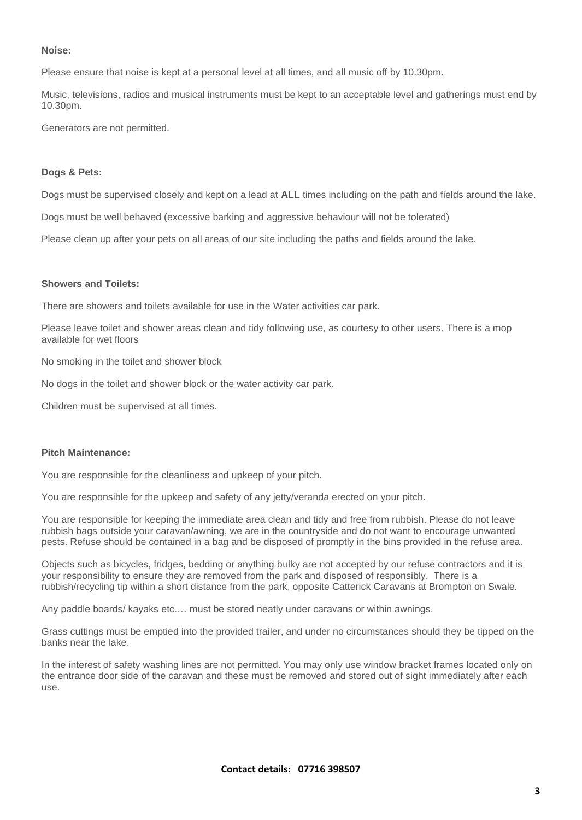# **Noise:**

Please ensure that noise is kept at a personal level at all times, and all music off by 10.30pm.

Music, televisions, radios and musical instruments must be kept to an acceptable level and gatherings must end by 10.30pm.

Generators are not permitted.

# **Dogs & Pets:**

Dogs must be supervised closely and kept on a lead at **ALL** times including on the path and fields around the lake.

Dogs must be well behaved (excessive barking and aggressive behaviour will not be tolerated)

Please clean up after your pets on all areas of our site including the paths and fields around the lake.

# **Showers and Toilets:**

There are showers and toilets available for use in the Water activities car park.

Please leave toilet and shower areas clean and tidy following use, as courtesy to other users. There is a mop available for wet floors

No smoking in the toilet and shower block

No dogs in the toilet and shower block or the water activity car park.

Children must be supervised at all times.

#### **Pitch Maintenance:**

You are responsible for the cleanliness and upkeep of your pitch.

You are responsible for the upkeep and safety of any jetty/veranda erected on your pitch.

You are responsible for keeping the immediate area clean and tidy and free from rubbish. Please do not leave rubbish bags outside your caravan/awning, we are in the countryside and do not want to encourage unwanted pests. Refuse should be contained in a bag and be disposed of promptly in the bins provided in the refuse area.

Objects such as bicycles, fridges, bedding or anything bulky are not accepted by our refuse contractors and it is your responsibility to ensure they are removed from the park and disposed of responsibly. There is a rubbish/recycling tip within a short distance from the park, opposite Catterick Caravans at Brompton on Swale.

Any paddle boards/ kayaks etc.… must be stored neatly under caravans or within awnings.

Grass cuttings must be emptied into the provided trailer, and under no circumstances should they be tipped on the banks near the lake.

In the interest of safety washing lines are not permitted. You may only use window bracket frames located only on the entrance door side of the caravan and these must be removed and stored out of sight immediately after each use.